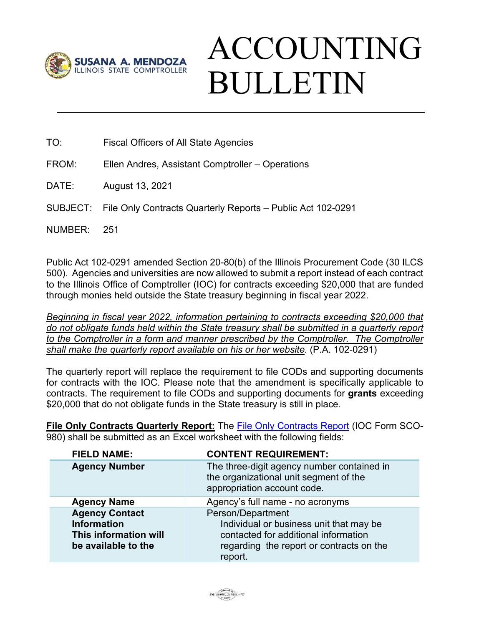

## ACCOUNTING BULLETIN

TO: Fiscal Officers of All State Agencies

FROM: Ellen Andres, Assistant Comptroller – Operations

DATE: August 13, 2021

SUBJECT: File Only Contracts Quarterly Reports – Public Act 102-0291

NUMBER: 251

Public Act 102-0291 amended Section 20-80(b) of the Illinois Procurement Code (30 ILCS 500). Agencies and universities are now allowed to submit a report instead of each contract to the Illinois Office of Comptroller (IOC) for contracts exceeding \$20,000 that are funded through monies held outside the State treasury beginning in fiscal year 2022.

*Beginning in fiscal year 2022, information pertaining to contracts exceeding \$20,000 that do not obligate funds held within the State treasury shall be submitted in a quarterly report*  to the Comptroller in a form and manner prescribed by the Comptroller. The Comptroller *shall make the quarterly report available on his or her website.* (P.A. 102-0291)

The quarterly report will replace the requirement to file CODs and supporting documents for contracts with the IOC. Please note that the amendment is specifically applicable to contracts. The requirement to file CODs and supporting documents for **grants** exceeding \$20,000 that do not obligate funds in the State treasury is still in place.

**File Only Contracts Quarterly Report:** The [File Only Contracts Report](https://illinoiscomptroller.gov/agencies/resource-library/accounting-forms/sco-980-file-only-contracts-report/) (IOC Form SCO-980) shall be submitted as an Excel worksheet with the following fields:

| <b>FIELD NAME:</b>                                                                          | <b>CONTENT REQUIREMENT:</b>                                                                                                                                 |
|---------------------------------------------------------------------------------------------|-------------------------------------------------------------------------------------------------------------------------------------------------------------|
| <b>Agency Number</b>                                                                        | The three-digit agency number contained in<br>the organizational unit segment of the<br>appropriation account code.                                         |
| <b>Agency Name</b>                                                                          | Agency's full name - no acronyms                                                                                                                            |
| <b>Agency Contact</b><br><b>Information</b><br>This information will<br>be available to the | Person/Department<br>Individual or business unit that may be<br>contacted for additional information<br>regarding the report or contracts on the<br>report. |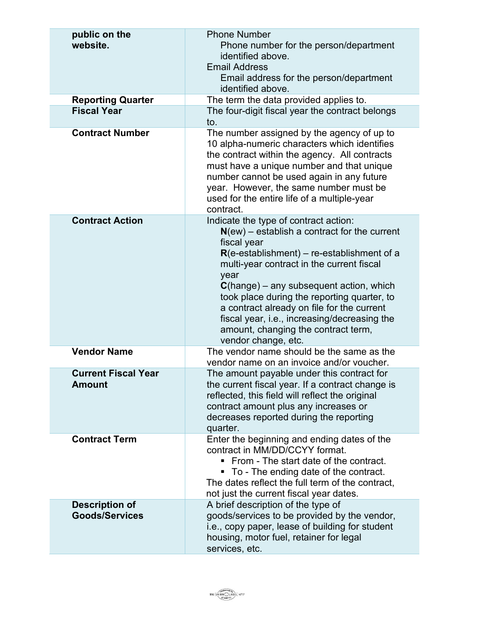| public on the<br>website.<br><b>Reporting Quarter</b> | <b>Phone Number</b><br>Phone number for the person/department<br>identified above.<br><b>Email Address</b><br>Email address for the person/department<br>identified above.<br>The term the data provided applies to.                                                                                                                                                                                                                                                          |
|-------------------------------------------------------|-------------------------------------------------------------------------------------------------------------------------------------------------------------------------------------------------------------------------------------------------------------------------------------------------------------------------------------------------------------------------------------------------------------------------------------------------------------------------------|
| <b>Fiscal Year</b>                                    | The four-digit fiscal year the contract belongs<br>to.                                                                                                                                                                                                                                                                                                                                                                                                                        |
| <b>Contract Number</b>                                | The number assigned by the agency of up to<br>10 alpha-numeric characters which identifies<br>the contract within the agency. All contracts<br>must have a unique number and that unique<br>number cannot be used again in any future<br>year. However, the same number must be<br>used for the entire life of a multiple-year<br>contract.                                                                                                                                   |
| <b>Contract Action</b>                                | Indicate the type of contract action:<br>$N(\text{ew})$ – establish a contract for the current<br>fiscal year<br>$R(e-estabilishment) - re-estabilishment of a$<br>multi-year contract in the current fiscal<br>year<br>$C$ (hange) – any subsequent action, which<br>took place during the reporting quarter, to<br>a contract already on file for the current<br>fiscal year, i.e., increasing/decreasing the<br>amount, changing the contract term,<br>vendor change, etc. |
| <b>Vendor Name</b>                                    | The vendor name should be the same as the<br>vendor name on an invoice and/or voucher.                                                                                                                                                                                                                                                                                                                                                                                        |
| <b>Current Fiscal Year</b><br><b>Amount</b>           | The amount payable under this contract for<br>the current fiscal year. If a contract change is<br>reflected, this field will reflect the original<br>contract amount plus any increases or<br>decreases reported during the reporting<br>quarter.                                                                                                                                                                                                                             |
| <b>Contract Term</b>                                  | Enter the beginning and ending dates of the<br>contract in MM/DD/CCYY format.<br>• From - The start date of the contract.<br>• To - The ending date of the contract.<br>The dates reflect the full term of the contract,<br>not just the current fiscal year dates.                                                                                                                                                                                                           |
| <b>Description of</b><br><b>Goods/Services</b>        | A brief description of the type of<br>goods/services to be provided by the vendor,<br>i.e., copy paper, lease of building for student<br>housing, motor fuel, retainer for legal<br>services, etc.                                                                                                                                                                                                                                                                            |